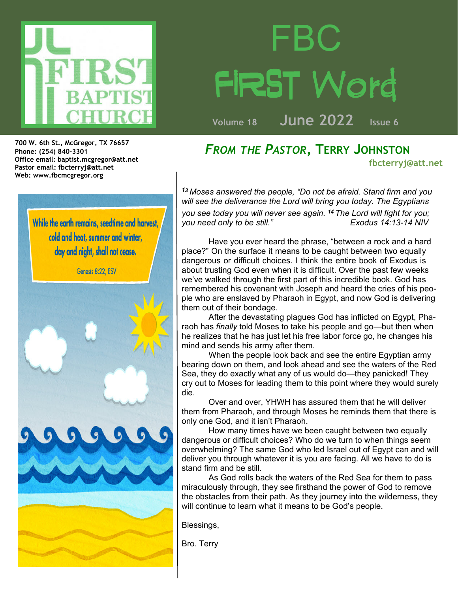

## FBC T Word

**Volume 18 June 2022 Issue 6**

**Office email: baptist.mcgregor@att.net Pastor email: fbcterryj@att.net Web: www.fbcmcgregor.org 700 W. 6th St., McGregor, TX 76657 Phone: (254) 840-3301**

> While the earth remains, seedtime and harvest, cold and heat, summer and winter, day and night, shall not cease.

> > Genesis 8:22, ESV

*FROM THE PASTOR,* **TERRY JOHNSTON fbcterryj@att.net**

*<sup>1</sup><sup>3</sup> Moses answered the people, "Do not be afraid. Stand firm and you will see the deliverance the Lord will bring you today. The Egyptians you see today you will never see again. <sup>14</sup> The Lord will fight for you; you need only to be still."* 

Have you ever heard the phrase, "between a rock and a hard place?" On the surface it means to be caught between two equally dangerous or difficult choices. I think the entire book of Exodus is about trusting God even when it is difficult. Over the past few weeks we've walked through the first part of this incredible book. God has remembered his covenant with Joseph and heard the cries of his people who are enslaved by Pharaoh in Egypt, and now God is delivering them out of their bondage.

 After the devastating plagues God has inflicted on Egypt, Pharaoh has *finally* told Moses to take his people and go—but then when he realizes that he has just let his free labor force go, he changes his mind and sends his army after them.

 When the people look back and see the entire Egyptian army bearing down on them, and look ahead and see the waters of the Red Sea, they do exactly what any of us would do—they panicked! They cry out to Moses for leading them to this point where they would surely die.

 Over and over, YHWH has assured them that he will deliver them from Pharaoh, and through Moses he reminds them that there is only one God, and it isn't Pharaoh.

 How many times have we been caught between two equally dangerous or difficult choices? Who do we turn to when things seem overwhelming? The same God who led Israel out of Egypt can and will deliver you through whatever it is you are facing. All we have to do is stand firm and be still.

 As God rolls back the waters of the Red Sea for them to pass miraculously through, they see firsthand the power of God to remove the obstacles from their path. As they journey into the wilderness, they will continue to learn what it means to be God's people.

Blessings,

Bro. Terry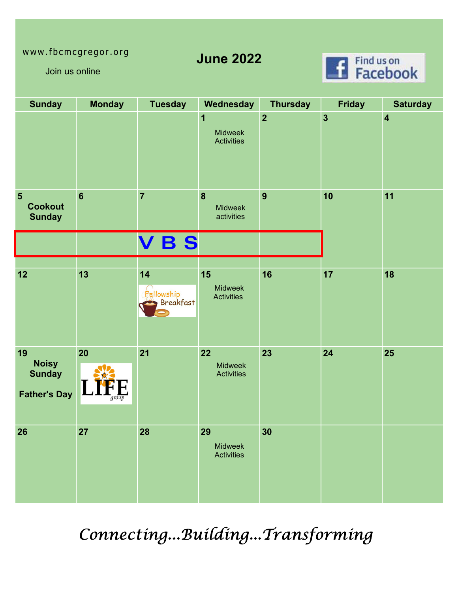## www.fbcmcgregor.org

**June 2022**



Join us online

| <b>Sunday</b>                                              | <b>Monday</b>   | <b>Tuesday</b>                       | Wednesday                                        | <b>Thursday</b>         | <b>Friday</b>           | <b>Saturday</b>         |
|------------------------------------------------------------|-----------------|--------------------------------------|--------------------------------------------------|-------------------------|-------------------------|-------------------------|
|                                                            |                 |                                      | 1<br><b>Midweek</b><br><b>Activities</b>         | $\overline{\mathbf{2}}$ | $\overline{\mathbf{3}}$ | $\overline{\mathbf{4}}$ |
| $5\phantom{.}$<br><b>Cookout</b><br><b>Sunday</b>          | $6\phantom{1}6$ | $\overline{7}$                       | $\boldsymbol{8}$<br><b>Midweek</b><br>activities | $\overline{9}$          | 10                      | 11                      |
|                                                            |                 | <b>VBS</b>                           |                                                  |                         |                         |                         |
| 12                                                         | 13              | 14<br>Fellowship<br><b>Breakfast</b> | 15<br><b>Midweek</b><br><b>Activities</b>        | 16                      | 17                      | 18                      |
| 19<br><b>Noisy</b><br><b>Sunday</b><br><b>Father's Day</b> | 20<br>group     | 21                                   | 22<br><b>Midweek</b><br><b>Activities</b>        | 23                      | 24                      | 25                      |
| 26                                                         | 27              | 28                                   | 29<br><b>Midweek</b><br><b>Activities</b>        | 30                      |                         |                         |

Connecting...Building...Transforming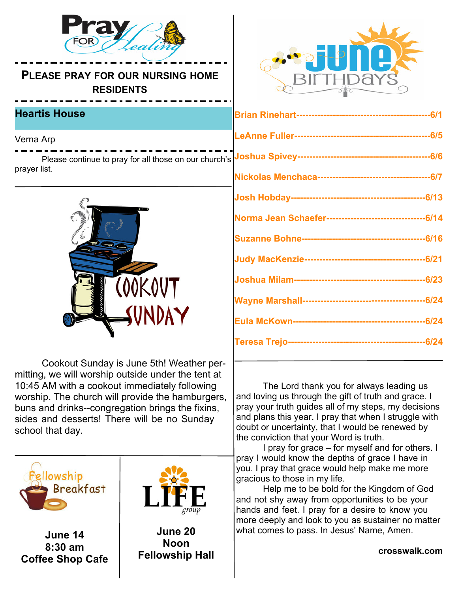

**PLEASE PRAY FOR OUR NURSING HOME RESIDENTS**

## **Heartis House**

Verna Arp

Please continue to pray for all those on our church's prayer list.



 Cookout Sunday is June 5th! Weather permitting, we will worship outside under the tent at 10:45 AM with a cookout immediately following worship. The church will provide the hamburgers, buns and drinks--congregation brings the fixins, sides and desserts! There will be no Sunday school that day.



**June 14 8:30 am Coffee Shop Cafe**



**June 20 Noon Fellowship Hall**



 The Lord thank you for always leading us and loving us through the gift of truth and grace. I pray your truth guides all of my steps, my decisions and plans this year. I pray that when I struggle with doubt or uncertainty, that I would be renewed by the conviction that your Word is truth.

 I pray for grace – for myself and for others. I pray I would know the depths of grace I have in you. I pray that grace would help make me more gracious to those in my life.

 Help me to be bold for the Kingdom of God and not shy away from opportunities to be your hands and feet. I pray for a desire to know you more deeply and look to you as sustainer no matter what comes to pass. In Jesus' Name, Amen.

**crosswalk.com**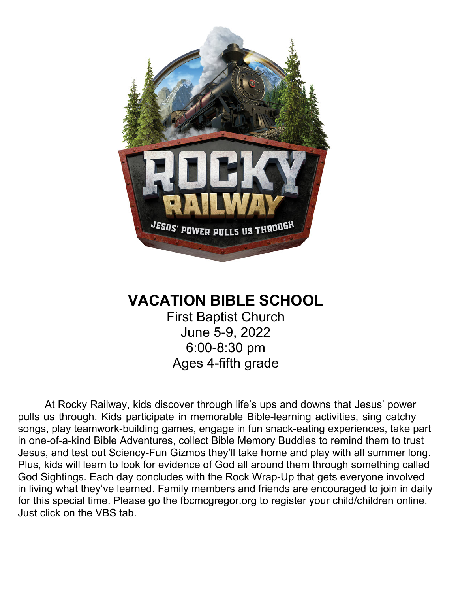

## **VACATION BIBLE SCHOOL**

First Baptist Church June 5-9, 2022 6:00-8:30 pm Ages 4-fifth grade

 At Rocky Railway, kids discover through life's ups and downs that Jesus' power pulls us through. Kids participate in memorable Bible-learning activities, sing catchy songs, play teamwork-building games, engage in fun snack-eating experiences, take part in one-of-a-kind Bible Adventures, collect Bible Memory Buddies to remind them to trust Jesus, and test out Sciency-Fun Gizmos they'll take home and play with all summer long. Plus, kids will learn to look for evidence of God all around them through something called God Sightings. Each day concludes with the Rock Wrap-Up that gets everyone involved in living what they've learned. Family members and friends are encouraged to join in daily for this special time. Please go the fbcmcgregor.org to register your child/children online. Just click on the VBS tab.